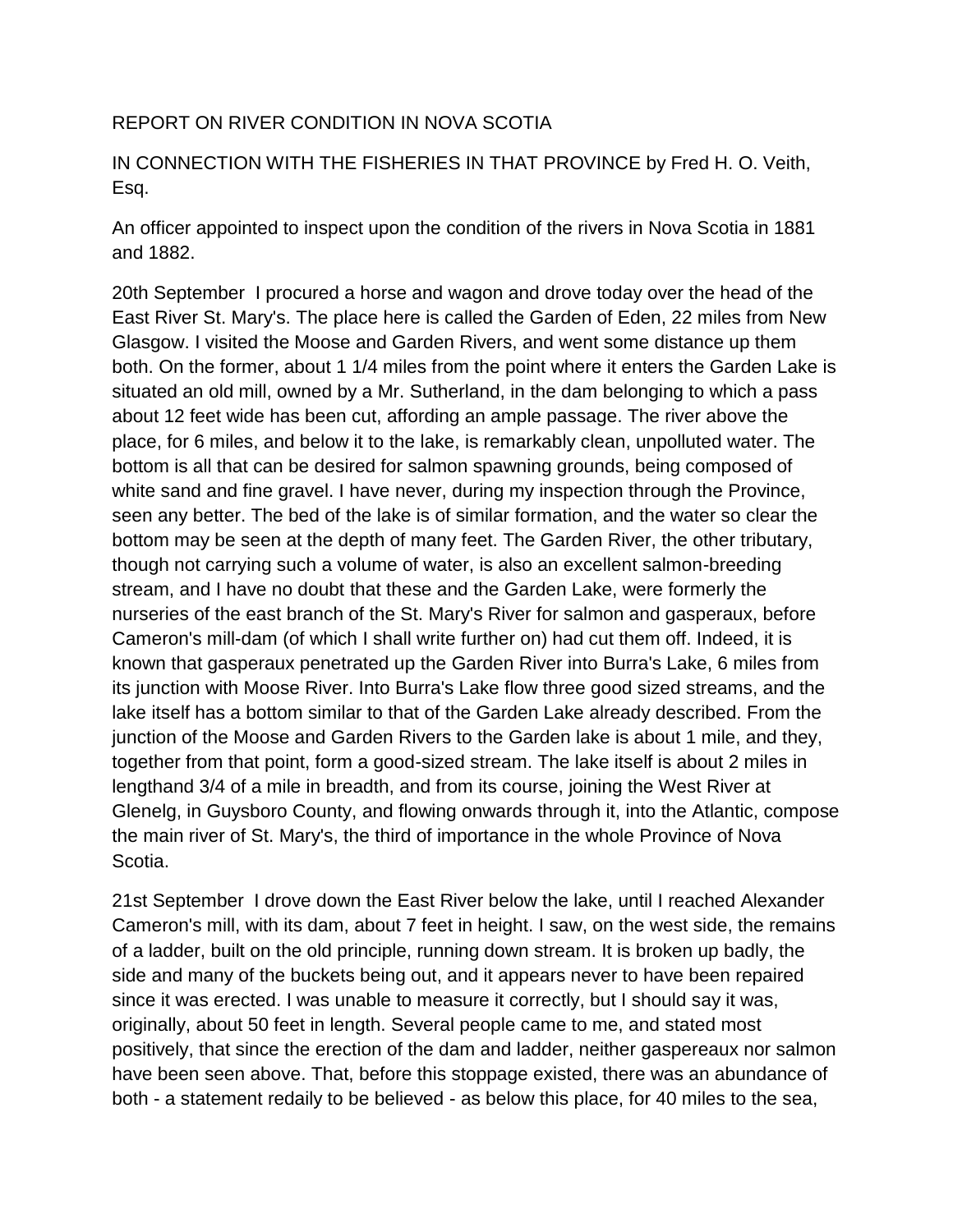## REPORT ON RIVER CONDITION IN NOVA SCOTIA

## IN CONNECTION WITH THE FISHERIES IN THAT PROVINCE by Fred H. O. Veith, Esq.

An officer appointed to inspect upon the condition of the rivers in Nova Scotia in 1881 and 1882.

20th September I procured a horse and wagon and drove today over the head of the East River St. Mary's. The place here is called the Garden of Eden, 22 miles from New Glasgow. I visited the Moose and Garden Rivers, and went some distance up them both. On the former, about 1 1/4 miles from the point where it enters the Garden Lake is situated an old mill, owned by a Mr. Sutherland, in the dam belonging to which a pass about 12 feet wide has been cut, affording an ample passage. The river above the place, for 6 miles, and below it to the lake, is remarkably clean, unpolluted water. The bottom is all that can be desired for salmon spawning grounds, being composed of white sand and fine gravel. I have never, during my inspection through the Province, seen any better. The bed of the lake is of similar formation, and the water so clear the bottom may be seen at the depth of many feet. The Garden River, the other tributary, though not carrying such a volume of water, is also an excellent salmon-breeding stream, and I have no doubt that these and the Garden Lake, were formerly the nurseries of the east branch of the St. Mary's River for salmon and gasperaux, before Cameron's mill-dam (of which I shall write further on) had cut them off. Indeed, it is known that gasperaux penetrated up the Garden River into Burra's Lake, 6 miles from its junction with Moose River. Into Burra's Lake flow three good sized streams, and the lake itself has a bottom similar to that of the Garden Lake already described. From the junction of the Moose and Garden Rivers to the Garden lake is about 1 mile, and they, together from that point, form a good-sized stream. The lake itself is about 2 miles in lengthand 3/4 of a mile in breadth, and from its course, joining the West River at Glenelg, in Guysboro County, and flowing onwards through it, into the Atlantic, compose the main river of St. Mary's, the third of importance in the whole Province of Nova Scotia.

21st September I drove down the East River below the lake, until I reached Alexander Cameron's mill, with its dam, about 7 feet in height. I saw, on the west side, the remains of a ladder, built on the old principle, running down stream. It is broken up badly, the side and many of the buckets being out, and it appears never to have been repaired since it was erected. I was unable to measure it correctly, but I should say it was, originally, about 50 feet in length. Several people came to me, and stated most positively, that since the erection of the dam and ladder, neither gaspereaux nor salmon have been seen above. That, before this stoppage existed, there was an abundance of both - a statement redaily to be believed - as below this place, for 40 miles to the sea,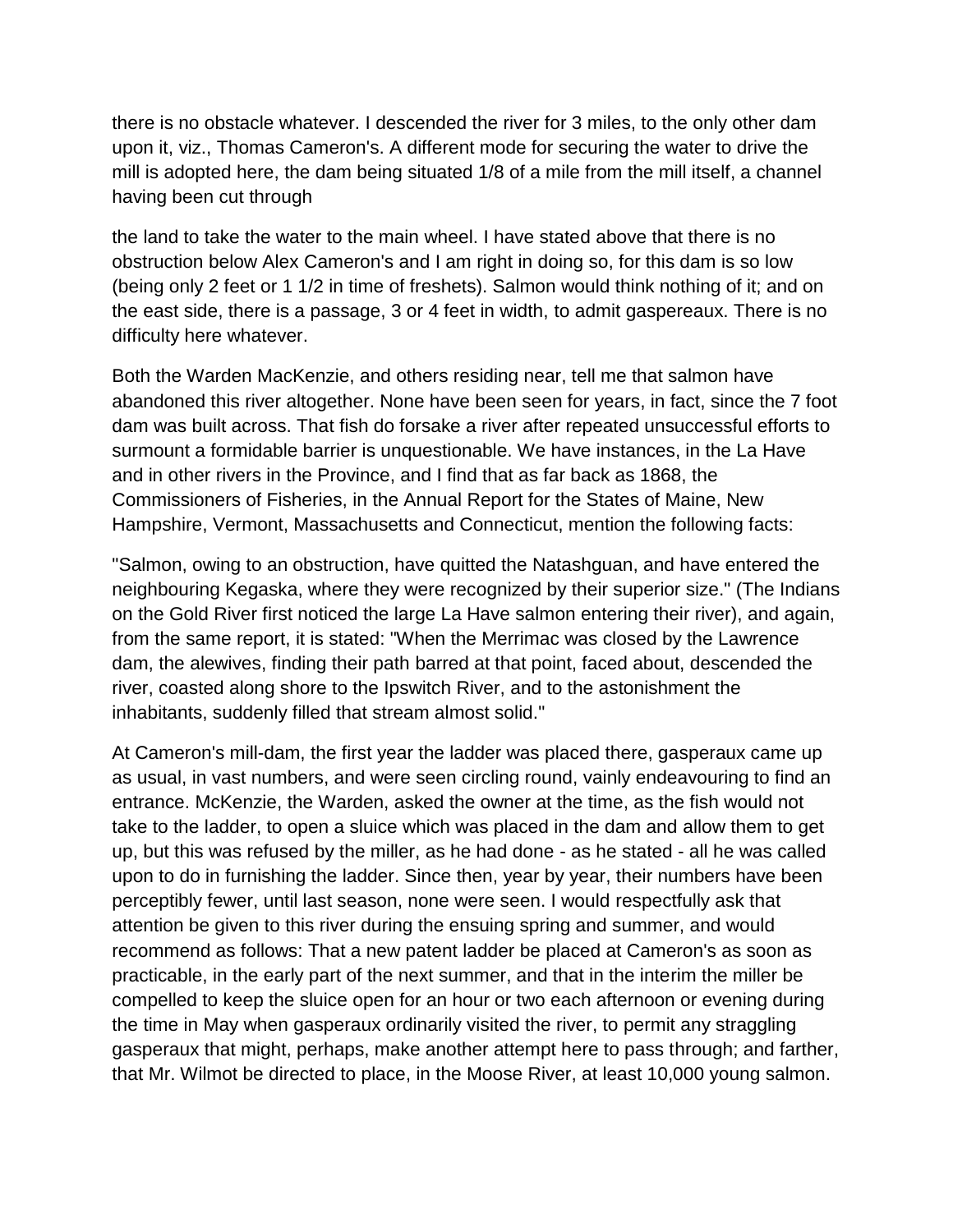there is no obstacle whatever. I descended the river for 3 miles, to the only other dam upon it, viz., Thomas Cameron's. A different mode for securing the water to drive the mill is adopted here, the dam being situated 1/8 of a mile from the mill itself, a channel having been cut through

the land to take the water to the main wheel. I have stated above that there is no obstruction below Alex Cameron's and I am right in doing so, for this dam is so low (being only 2 feet or 1 1/2 in time of freshets). Salmon would think nothing of it; and on the east side, there is a passage, 3 or 4 feet in width, to admit gaspereaux. There is no difficulty here whatever.

Both the Warden MacKenzie, and others residing near, tell me that salmon have abandoned this river altogether. None have been seen for years, in fact, since the 7 foot dam was built across. That fish do forsake a river after repeated unsuccessful efforts to surmount a formidable barrier is unquestionable. We have instances, in the La Have and in other rivers in the Province, and I find that as far back as 1868, the Commissioners of Fisheries, in the Annual Report for the States of Maine, New Hampshire, Vermont, Massachusetts and Connecticut, mention the following facts:

"Salmon, owing to an obstruction, have quitted the Natashguan, and have entered the neighbouring Kegaska, where they were recognized by their superior size." (The Indians on the Gold River first noticed the large La Have salmon entering their river), and again, from the same report, it is stated: "When the Merrimac was closed by the Lawrence dam, the alewives, finding their path barred at that point, faced about, descended the river, coasted along shore to the Ipswitch River, and to the astonishment the inhabitants, suddenly filled that stream almost solid."

At Cameron's mill-dam, the first year the ladder was placed there, gasperaux came up as usual, in vast numbers, and were seen circling round, vainly endeavouring to find an entrance. McKenzie, the Warden, asked the owner at the time, as the fish would not take to the ladder, to open a sluice which was placed in the dam and allow them to get up, but this was refused by the miller, as he had done - as he stated - all he was called upon to do in furnishing the ladder. Since then, year by year, their numbers have been perceptibly fewer, until last season, none were seen. I would respectfully ask that attention be given to this river during the ensuing spring and summer, and would recommend as follows: That a new patent ladder be placed at Cameron's as soon as practicable, in the early part of the next summer, and that in the interim the miller be compelled to keep the sluice open for an hour or two each afternoon or evening during the time in May when gasperaux ordinarily visited the river, to permit any straggling gasperaux that might, perhaps, make another attempt here to pass through; and farther, that Mr. Wilmot be directed to place, in the Moose River, at least 10,000 young salmon.